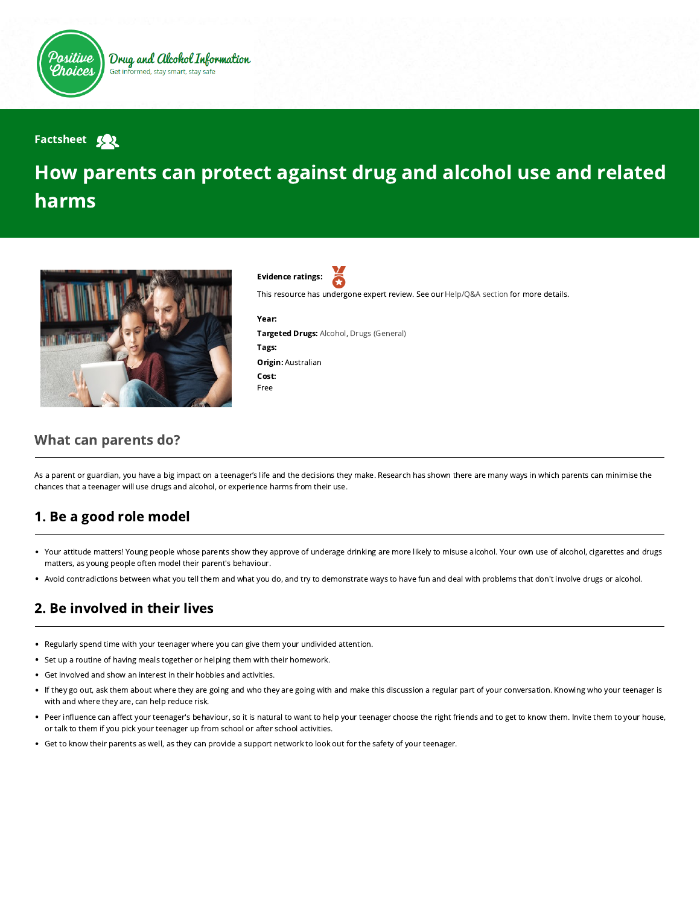

#### **Factsheet Sol**

# How parents can protect against drug and alcohol use and related harms



Evidence ratings:

This resource has undergone expert review. See our [Help/Q&A section](https://positivechoices.org.au/help/questions-and-answers/) for more details.

Year: Targeted Drugs: Alcohol, Drugs (General) Tags: Origin: Australian Cost: Free

#### What can parents do?

As a parent or guardian, you have a big impact on a teenager's life and the decisions they make. Research has shown there are many ways in which parents can minimise the chances that a teenager will use drugs and alcohol, or experience harms from their use.

### 1. Be a good role model

- Your attitude matters! Young people whose parents show they approve of underage drinking are more likely to misuse alcohol. Your own use of alcohol, cigarettes and drugs matters, as young people often model their parent's behaviour.
- Avoid contradictions between what you tell them and what you do, and try to demonstrate ways to have fun and deal with problems that don't involve drugs or alcohol.  $\bullet$

## 2. Be involved in their lives

- Regularly spend time with your teenager where you can give them your undivided attention.
- Set up a routine of having meals together or helping them with their homework.
- Get involved and show an interest in their hobbies and activities.  $\bullet$
- If they go out, ask them about where they are going and who they are going with and make this discussion a regular part of your conversation. Knowing who your teenager is with and where they are, can help reduce risk.
- Peer influence can affect your teenager's behaviour, so it is natural to want to help your teenager choose the right friends and to get to know them. Invite them to your house, or talk to them if you pick your teenager up from school or after school activities.
- Get to know their parents as well, as they can provide a support network to look out for the safety of your teenager.